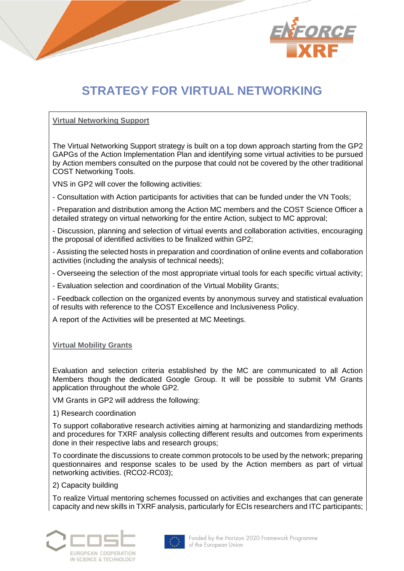

## **STRATEGY FOR VIRTUAL NETWORKING**

## **Virtual Networking Support**

The Virtual Networking Support strategy is built on a top down approach starting from the GP2 GAPGs of the Action Implementation Plan and identifying some virtual activities to be pursued by Action members consulted on the purpose that could not be covered by the other traditional COST Networking Tools.

VNS in GP2 will cover the following activities:

- Consultation with Action participants for activities that can be funded under the VN Tools;

- Preparation and distribution among the Action MC members and the COST Science Officer a detailed strategy on virtual networking for the entire Action, subject to MC approval;

- Discussion, planning and selection of virtual events and collaboration activities, encouraging the proposal of identified activities to be finalized within GP2;

- Assisting the selected hosts in preparation and coordination of online events and collaboration activities (including the analysis of technical needs);

- Overseeing the selection of the most appropriate virtual tools for each specific virtual activity;

- Evaluation selection and coordination of the Virtual Mobility Grants;

- Feedback collection on the organized events by anonymous survey and statistical evaluation of results with reference to the COST Excellence and Inclusiveness Policy.

A report of the Activities will be presented at MC Meetings.

## **Virtual Mobility Grants**

Evaluation and selection criteria established by the MC are communicated to all Action Members though the dedicated Google Group. It will be possible to submit VM Grants application throughout the whole GP2.

VM Grants in GP2 will address the following:

1) Research coordination

To support collaborative research activities aiming at harmonizing and standardizing methods and procedures for TXRF analysis collecting different results and outcomes from experiments done in their respective labs and research groups;

To coordinate the discussions to create common protocols to be used by the network; preparing questionnaires and response scales to be used by the Action members as part of virtual networking activities. (RCO2-RC03);

2) Capacity building

To realize Virtual mentoring schemes focussed on activities and exchanges that can generate capacity and new skills in TXRF analysis, particularly for ECIs researchers and ITC participants;